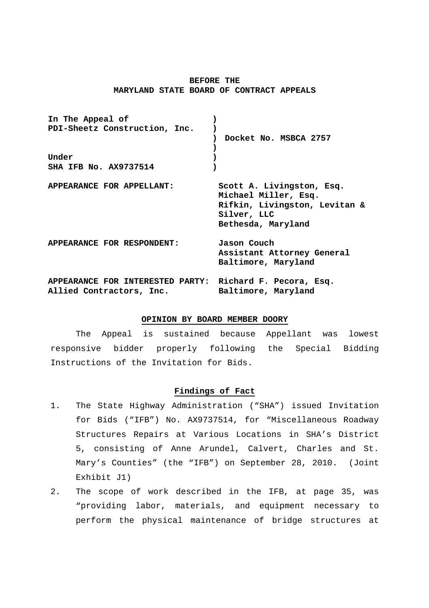## **BEFORE THE MARYLAND STATE BOARD OF CONTRACT APPEALS**

| In The Appeal of<br>PDI-Sheetz Construction, Inc.            | Docket No. MSBCA 2757                                                                                                   |
|--------------------------------------------------------------|-------------------------------------------------------------------------------------------------------------------------|
| Under<br><b>SHA IFB No. AX9737514</b>                        |                                                                                                                         |
| APPEARANCE FOR APPELLANT:                                    | Scott A. Livingston, Esq.<br>Michael Miller, Esq.<br>Rifkin, Livingston, Levitan &<br>Silver, LLC<br>Bethesda, Maryland |
| APPEARANCE FOR RESPONDENT:                                   | Jason Couch<br>Assistant Attorney General<br>Baltimore, Maryland                                                        |
| APPEARANCE FOR INTERESTED PARTY:<br>Allied Contractors, Inc. | Richard F. Pecora, Esq.<br>Baltimore, Maryland                                                                          |

## **OPINION BY BOARD MEMBER DOORY**

 The Appeal is sustained because Appellant was lowest responsive bidder properly following the Special Bidding Instructions of the Invitation for Bids.

# **Findings of Fact**

- 1. The State Highway Administration ("SHA") issued Invitation for Bids ("IFB") No. AX9737514, for "Miscellaneous Roadway Structures Repairs at Various Locations in SHA's District 5, consisting of Anne Arundel, Calvert, Charles and St. Mary's Counties" (the "IFB") on September 28, 2010. (Joint Exhibit J1)
- 2. The scope of work described in the IFB, at page 35, was "providing labor, materials, and equipment necessary to perform the physical maintenance of bridge structures at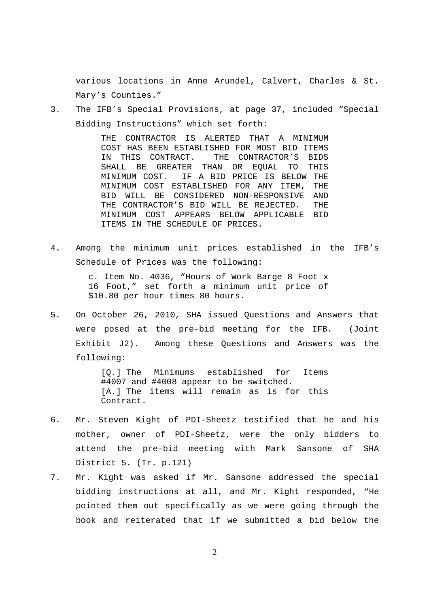various locations in Anne Arundel, Calvert, Charles & St. Mary's Counties."

3. The IFB's Special Provisions, at page 37, included "Special Bidding Instructions" which set forth:

> THE CONTRACTOR IS ALERTED THAT A MINIMUM COST HAS BEEN ESTABLISHED FOR MOST BID ITEMS IN THIS CONTRACT. THE CONTRACTOR'S BIDS SHALL BE GREATER THAN OR EQUAL TO THIS MINIMUM COST. IF A BID PRICE IS BELOW THE MINIMUM COST ESTABLISHED FOR ANY ITEM, THE BID WILL BE CONSIDERED NON-RESPONSIVE AND THE CONTRACTOR'S BID WILL BE REJECTED. THE MINIMUM COST APPEARS BELOW APPLICABLE BID ITEMS IN THE SCHEDULE OF PRICES.

4. Among the minimum unit prices established in the IFB's Schedule of Prices was the following:

> c. Item No. 4036, "Hours of Work Barge 8 Foot x 16 Foot," set forth a minimum unit price of \$10.80 per hour times 80 hours.

5. On October 26, 2010, SHA issued Questions and Answers that were posed at the pre-bid meeting for the IFB. (Joint Exhibit J2). Among these Questions and Answers was the following:

> [Q.] The Minimums established for Items #4007 and #4008 appear to be switched. [A.] The items will remain as is for this Contract.

- 6. Mr. Steven Kight of PDI-Sheetz testified that he and his mother, owner of PDI-Sheetz, were the only bidders to attend the pre-bid meeting with Mark Sansone of SHA District 5. (Tr. p.121)
- 7. Mr. Kight was asked if Mr. Sansone addressed the special bidding instructions at all, and Mr. Kight responded, "He pointed them out specifically as we were going through the book and reiterated that if we submitted a bid below the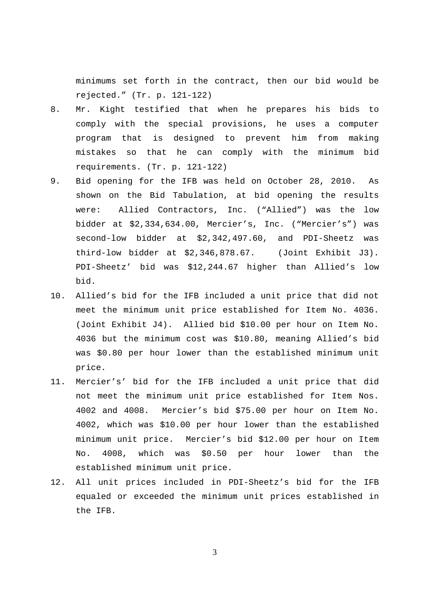minimums set forth in the contract, then our bid would be rejected." (Tr. p. 121-122)

- 8. Mr. Kight testified that when he prepares his bids to comply with the special provisions, he uses a computer program that is designed to prevent him from making mistakes so that he can comply with the minimum bid requirements. (Tr. p. 121-122)
- 9. Bid opening for the IFB was held on October 28, 2010. As shown on the Bid Tabulation, at bid opening the results were: Allied Contractors, Inc. ("Allied") was the low bidder at \$2,334,634.00, Mercier's, Inc. ("Mercier's") was second-low bidder at \$2,342,497.60, and PDI-Sheetz was third-low bidder at \$2,346,878.67. (Joint Exhibit J3). PDI-Sheetz' bid was \$12,244.67 higher than Allied's low bid.
- 10. Allied's bid for the IFB included a unit price that did not meet the minimum unit price established for Item No. 4036. (Joint Exhibit J4). Allied bid \$10.00 per hour on Item No. 4036 but the minimum cost was \$10.80, meaning Allied's bid was \$0.80 per hour lower than the established minimum unit price.
- 11. Mercier's' bid for the IFB included a unit price that did not meet the minimum unit price established for Item Nos. 4002 and 4008. Mercier's bid \$75.00 per hour on Item No. 4002, which was \$10.00 per hour lower than the established minimum unit price. Mercier's bid \$12.00 per hour on Item No. 4008, which was \$0.50 per hour lower than the established minimum unit price.
- 12. All unit prices included in PDI-Sheetz's bid for the IFB equaled or exceeded the minimum unit prices established in the IFB.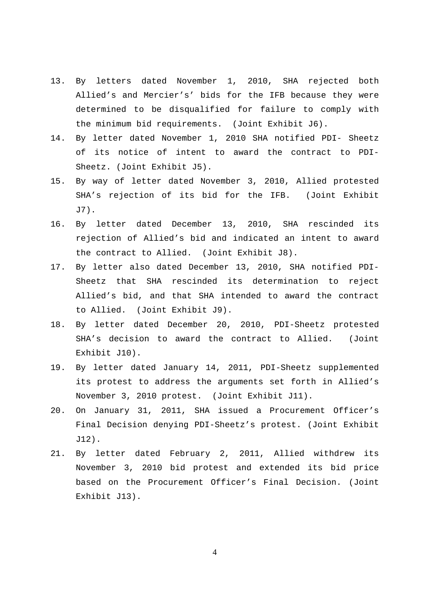- 13. By letters dated November 1, 2010, SHA rejected both Allied's and Mercier's' bids for the IFB because they were determined to be disqualified for failure to comply with the minimum bid requirements. (Joint Exhibit J6).
- 14. By letter dated November 1, 2010 SHA notified PDI- Sheetz of its notice of intent to award the contract to PDI-Sheetz. (Joint Exhibit J5).
- 15. By way of letter dated November 3, 2010, Allied protested SHA's rejection of its bid for the IFB. (Joint Exhibit J7).
- 16. By letter dated December 13, 2010, SHA rescinded its rejection of Allied's bid and indicated an intent to award the contract to Allied. (Joint Exhibit J8).
- 17. By letter also dated December 13, 2010, SHA notified PDI-Sheetz that SHA rescinded its determination to reject Allied's bid, and that SHA intended to award the contract to Allied. (Joint Exhibit J9).
- 18. By letter dated December 20, 2010, PDI-Sheetz protested SHA's decision to award the contract to Allied. (Joint Exhibit J10).
- 19. By letter dated January 14, 2011, PDI-Sheetz supplemented its protest to address the arguments set forth in Allied's November 3, 2010 protest. (Joint Exhibit J11).
- 20. On January 31, 2011, SHA issued a Procurement Officer's Final Decision denying PDI-Sheetz's protest. (Joint Exhibit J12).
- 21. By letter dated February 2, 2011, Allied withdrew its November 3, 2010 bid protest and extended its bid price based on the Procurement Officer's Final Decision. (Joint Exhibit J13).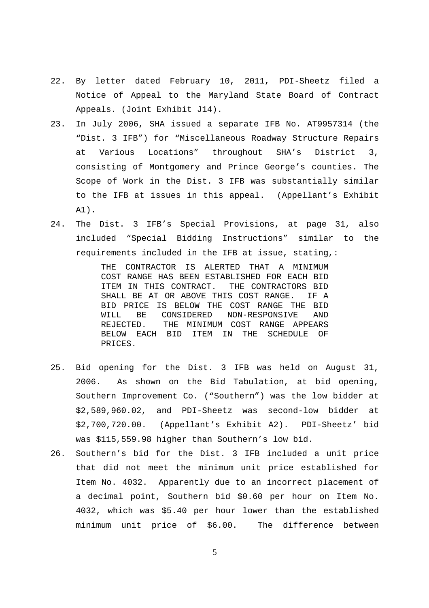- 22. By letter dated February 10, 2011, PDI-Sheetz filed a Notice of Appeal to the Maryland State Board of Contract Appeals. (Joint Exhibit J14).
- 23. In July 2006, SHA issued a separate IFB No. AT9957314 (the "Dist. 3 IFB") for "Miscellaneous Roadway Structure Repairs at Various Locations" throughout SHA's District 3, consisting of Montgomery and Prince George's counties. The Scope of Work in the Dist. 3 IFB was substantially similar to the IFB at issues in this appeal. (Appellant's Exhibit A1).
- 24. The Dist. 3 IFB's Special Provisions, at page 31, also included "Special Bidding Instructions" similar to the requirements included in the IFB at issue, stating,:

THE CONTRACTOR IS ALERTED THAT A MINIMUM COST RANGE HAS BEEN ESTABLISHED FOR EACH BID ITEM IN THIS CONTRACT. THE CONTRACTORS BID SHALL BE AT OR ABOVE THIS COST RANGE. IF A BID PRICE IS BELOW THE COST RANGE THE BID WILL BE CONSIDERED NON-RESPONSIVE AND REJECTED. THE MINIMUM COST RANGE APPEARS BELOW EACH BID ITEM IN THE SCHEDULE OF PRICES.

- 25. Bid opening for the Dist. 3 IFB was held on August 31, 2006. As shown on the Bid Tabulation, at bid opening, Southern Improvement Co. ("Southern") was the low bidder at \$2,589,960.02, and PDI-Sheetz was second-low bidder at \$2,700,720.00. (Appellant's Exhibit A2). PDI-Sheetz' bid was \$115,559.98 higher than Southern's low bid.
- 26. Southern's bid for the Dist. 3 IFB included a unit price that did not meet the minimum unit price established for Item No. 4032. Apparently due to an incorrect placement of a decimal point, Southern bid \$0.60 per hour on Item No. 4032, which was \$5.40 per hour lower than the established minimum unit price of \$6.00. The difference between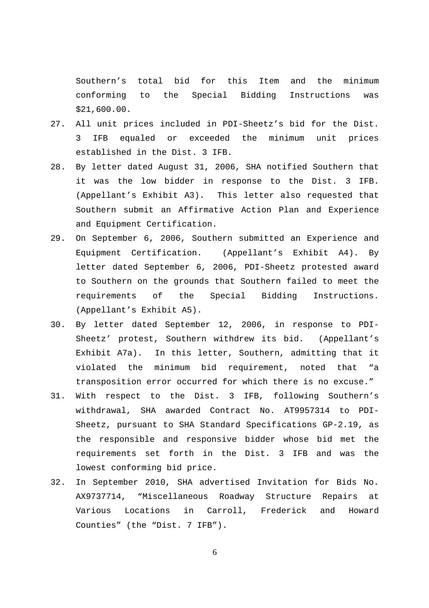Southern's total bid for this Item and the minimum conforming to the Special Bidding Instructions was \$21,600.00.

- 27. All unit prices included in PDI-Sheetz's bid for the Dist. IFB equaled or exceeded the minimum unit prices established in the Dist. 3 IFB.
- 28. By letter dated August 31, 2006, SHA notified Southern that it was the low bidder in response to the Dist. 3 IFB. (Appellant's Exhibit A3). This letter also requested that Southern submit an Affirmative Action Plan and Experience and Equipment Certification.
- 29. On September 6, 2006, Southern submitted an Experience and Equipment Certification. (Appellant's Exhibit A4). By letter dated September 6, 2006, PDI-Sheetz protested award to Southern on the grounds that Southern failed to meet the requirements of the Special Bidding Instructions. (Appellant's Exhibit A5).
- 30. By letter dated September 12, 2006, in response to PDI-Sheetz' protest, Southern withdrew its bid. (Appellant's Exhibit A7a). In this letter, Southern, admitting that it violated the minimum bid requirement, noted that "a transposition error occurred for which there is no excuse."
- 31. With respect to the Dist. 3 IFB, following Southern's withdrawal, SHA awarded Contract No. AT9957314 to PDI-Sheetz, pursuant to SHA Standard Specifications GP-2.19, as the responsible and responsive bidder whose bid met the requirements set forth in the Dist. 3 IFB and was the lowest conforming bid price.
- 32. In September 2010, SHA advertised Invitation for Bids No. AX9737714, "Miscellaneous Roadway Structure Repairs at Various Locations in Carroll, Frederick and Howard Counties" (the "Dist. 7 IFB").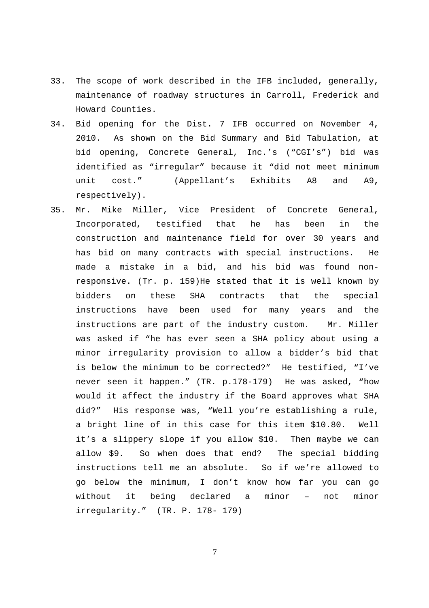- 33. The scope of work described in the IFB included, generally, maintenance of roadway structures in Carroll, Frederick and Howard Counties.
- 34. Bid opening for the Dist. 7 IFB occurred on November 4, 2010. As shown on the Bid Summary and Bid Tabulation, at bid opening, Concrete General, Inc.'s ("CGI's") bid was identified as "irregular" because it "did not meet minimum unit cost." (Appellant's Exhibits A8 and A9**,**  respectively).
- 35. Mr. Mike Miller, Vice President of Concrete General, Incorporated, testified that he has been in the construction and maintenance field for over 30 years and has bid on many contracts with special instructions. He made a mistake in a bid, and his bid was found nonresponsive. (Tr. p. 159)He stated that it is well known by bidders on these SHA contracts that the special instructions have been used for many years and the instructions are part of the industry custom. Mr. Miller was asked if "he has ever seen a SHA policy about using a minor irregularity provision to allow a bidder's bid that is below the minimum to be corrected?" He testified, "I've never seen it happen." (TR. p.178-179) He was asked, "how would it affect the industry if the Board approves what SHA did?" His response was, "Well you're establishing a rule, a bright line of in this case for this item \$10.80. Well it's a slippery slope if you allow \$10. Then maybe we can allow \$9. So when does that end? The special bidding instructions tell me an absolute. So if we're allowed to go below the minimum, I don't know how far you can go without it being declared a minor – not minor irregularity." (TR. P. 178- 179)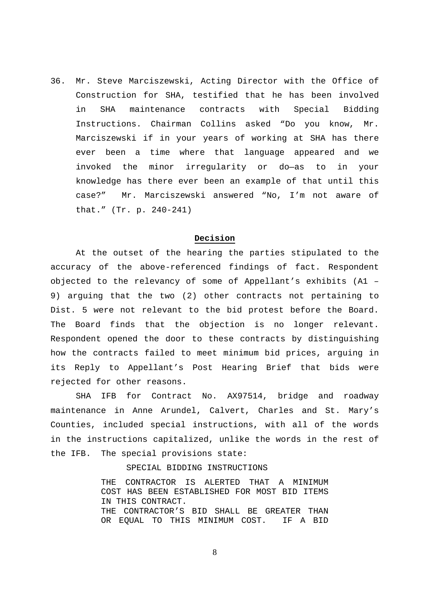36. Mr. Steve Marciszewski, Acting Director with the Office of Construction for SHA, testified that he has been involved in SHA maintenance contracts with Special Bidding Instructions. Chairman Collins asked "Do you know, Mr. Marciszewski if in your years of working at SHA has there ever been a time where that language appeared and we invoked the minor irregularity or do—as to in your knowledge has there ever been an example of that until this case?" Mr. Marciszewski answered "No, I'm not aware of that." (Tr. p. 240-241)

#### **Decision**

 At the outset of the hearing the parties stipulated to the accuracy of the above-referenced findings of fact. Respondent objected to the relevancy of some of Appellant's exhibits (A1 – 9) arguing that the two (2) other contracts not pertaining to Dist. 5 were not relevant to the bid protest before the Board. The Board finds that the objection is no longer relevant. Respondent opened the door to these contracts by distinguishing how the contracts failed to meet minimum bid prices, arguing in its Reply to Appellant's Post Hearing Brief that bids were rejected for other reasons.

 SHA IFB for Contract No. AX97514, bridge and roadway maintenance in Anne Arundel, Calvert, Charles and St. Mary's Counties, included special instructions, with all of the words in the instructions capitalized, unlike the words in the rest of the IFB. The special provisions state:

SPECIAL BIDDING INSTRUCTIONS

THE CONTRACTOR IS ALERTED THAT A MINIMUM COST HAS BEEN ESTABLISHED FOR MOST BID ITEMS IN THIS CONTRACT. THE CONTRACTOR'S BID SHALL BE GREATER THAN OR EQUAL TO THIS MINIMUM COST. IF A BID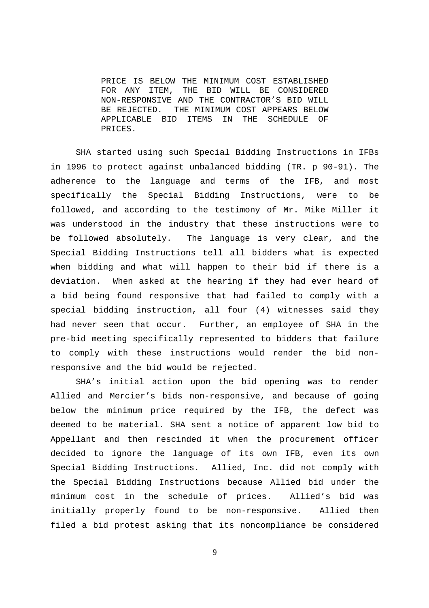PRICE IS BELOW THE MINIMUM COST ESTABLISHED FOR ANY ITEM, THE BID WILL BE CONSIDERED NON-RESPONSIVE AND THE CONTRACTOR'S BID WILL BE REJECTED. THE MINIMUM COST APPEARS BELOW APPLICABLE BID ITEMS IN THE SCHEDULE OF PRICES.

 SHA started using such Special Bidding Instructions in IFBs in 1996 to protect against unbalanced bidding (TR. p 90-91). The adherence to the language and terms of the IFB, and most specifically the Special Bidding Instructions, were to be followed, and according to the testimony of Mr. Mike Miller it was understood in the industry that these instructions were to be followed absolutely. The language is very clear, and the Special Bidding Instructions tell all bidders what is expected when bidding and what will happen to their bid if there is a deviation. When asked at the hearing if they had ever heard of a bid being found responsive that had failed to comply with a special bidding instruction, all four (4) witnesses said they had never seen that occur. Further, an employee of SHA in the pre-bid meeting specifically represented to bidders that failure to comply with these instructions would render the bid nonresponsive and the bid would be rejected.

 SHA's initial action upon the bid opening was to render Allied and Mercier's bids non-responsive, and because of going below the minimum price required by the IFB, the defect was deemed to be material. SHA sent a notice of apparent low bid to Appellant and then rescinded it when the procurement officer decided to ignore the language of its own IFB, even its own Special Bidding Instructions. Allied, Inc. did not comply with the Special Bidding Instructions because Allied bid under the minimum cost in the schedule of prices. Allied's bid was initially properly found to be non-responsive. Allied then filed a bid protest asking that its noncompliance be considered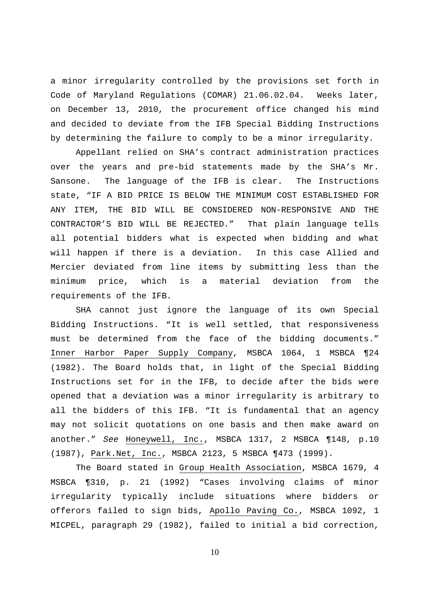a minor irregularity controlled by the provisions set forth in Code of Maryland Regulations (COMAR) 21.06.02.04. Weeks later, on December 13, 2010, the procurement office changed his mind and decided to deviate from the IFB Special Bidding Instructions by determining the failure to comply to be a minor irregularity.

 Appellant relied on SHA's contract administration practices over the years and pre-bid statements made by the SHA's Mr. Sansone. The language of the IFB is clear. The Instructions state, "IF A BID PRICE IS BELOW THE MINIMUM COST ESTABLISHED FOR ANY ITEM, THE BID WILL BE CONSIDERED NON-RESPONSIVE AND THE CONTRACTOR'S BID WILL BE REJECTED." That plain language tells all potential bidders what is expected when bidding and what will happen if there is a deviation. In this case Allied and Mercier deviated from line items by submitting less than the minimum price, which is a material deviation from the requirements of the IFB.

 SHA cannot just ignore the language of its own Special Bidding Instructions. "It is well settled, that responsiveness must be determined from the face of the bidding documents." Inner Harbor Paper Supply Company, MSBCA 1064, 1 MSBCA ¶24 (1982). The Board holds that, in light of the Special Bidding Instructions set for in the IFB, to decide after the bids were opened that a deviation was a minor irregularity is arbitrary to all the bidders of this IFB. "It is fundamental that an agency may not solicit quotations on one basis and then make award on another." See Honeywell, Inc., MSBCA 1317, 2 MSBCA ¶148, p.10 (1987), Park.Net, Inc., MSBCA 2123, 5 MSBCA ¶473 (1999).

 The Board stated in Group Health Association, MSBCA 1679, 4 MSBCA ¶310, p. 21 (1992) "Cases involving claims of minor irregularity typically include situations where bidders or offerors failed to sign bids, Apollo Paving Co., MSBCA 1092, 1 MICPEL, paragraph 29 (1982), failed to initial a bid correction,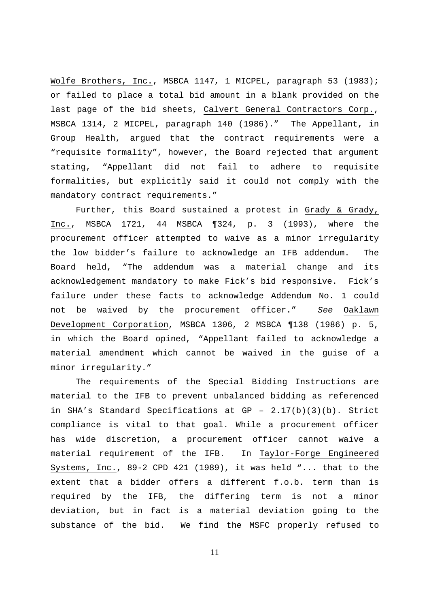Wolfe Brothers, Inc., MSBCA 1147, 1 MICPEL, paragraph 53 (1983); or failed to place a total bid amount in a blank provided on the last page of the bid sheets, Calvert General Contractors Corp., MSBCA 1314, 2 MICPEL, paragraph 140 (1986)." The Appellant, in Group Health, argued that the contract requirements were a "requisite formality", however, the Board rejected that argument stating, "Appellant did not fail to adhere to requisite formalities, but explicitly said it could not comply with the mandatory contract requirements."

 Further, this Board sustained a protest in Grady & Grady, Inc., MSBCA 1721, 44 MSBCA ¶324, p. 3 (1993), where the procurement officer attempted to waive as a minor irregularity the low bidder's failure to acknowledge an IFB addendum. The Board held, "The addendum was a material change and its acknowledgement mandatory to make Fick's bid responsive. Fick's failure under these facts to acknowledge Addendum No. 1 could not be waived by the procurement officer." See Oaklawn Development Corporation, MSBCA 1306, 2 MSBCA ¶138 (1986) p. 5, in which the Board opined, "Appellant failed to acknowledge a material amendment which cannot be waived in the guise of a minor irregularity."

 The requirements of the Special Bidding Instructions are material to the IFB to prevent unbalanced bidding as referenced in SHA's Standard Specifications at GP -  $2.17(b)(3)(b)$ . Strict compliance is vital to that goal. While a procurement officer has wide discretion, a procurement officer cannot waive a material requirement of the IFB. In Taylor-Forge Engineered Systems, Inc., 89-2 CPD 421 (1989), it was held "... that to the extent that a bidder offers a different f.o.b. term than is required by the IFB, the differing term is not a minor deviation, but in fact is a material deviation going to the substance of the bid. We find the MSFC properly refused to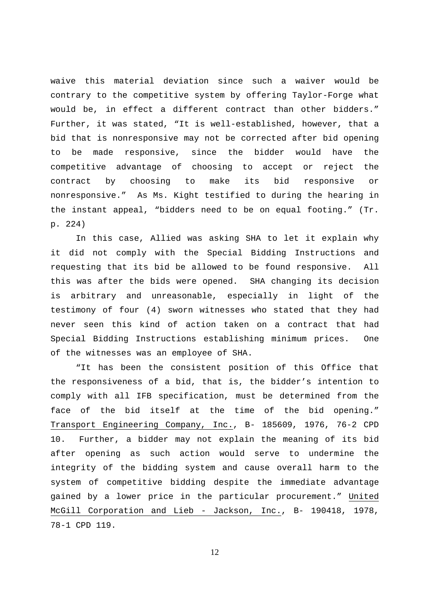waive this material deviation since such a waiver would be contrary to the competitive system by offering Taylor-Forge what would be, in effect a different contract than other bidders." Further, it was stated, "It is well-established, however, that a bid that is nonresponsive may not be corrected after bid opening to be made responsive, since the bidder would have the competitive advantage of choosing to accept or reject the contract by choosing to make its bid responsive or nonresponsive." As Ms. Kight testified to during the hearing in the instant appeal, "bidders need to be on equal footing." (Tr. p. 224)

 In this case, Allied was asking SHA to let it explain why it did not comply with the Special Bidding Instructions and requesting that its bid be allowed to be found responsive. All this was after the bids were opened. SHA changing its decision is arbitrary and unreasonable, especially in light of the testimony of four (4) sworn witnesses who stated that they had never seen this kind of action taken on a contract that had Special Bidding Instructions establishing minimum prices. One of the witnesses was an employee of SHA.

 "It has been the consistent position of this Office that the responsiveness of a bid, that is, the bidder's intention to comply with all IFB specification, must be determined from the face of the bid itself at the time of the bid opening." Transport Engineering Company, Inc., B- 185609, 1976, 76-2 CPD 10. Further, a bidder may not explain the meaning of its bid after opening as such action would serve to undermine the integrity of the bidding system and cause overall harm to the system of competitive bidding despite the immediate advantage gained by a lower price in the particular procurement." United McGill Corporation and Lieb - Jackson, Inc., B- 190418, 1978, 78-1 CPD 119.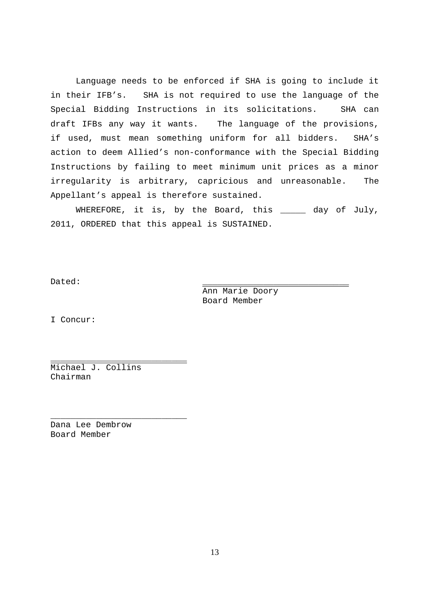Language needs to be enforced if SHA is going to include it in their IFB's. SHA is not required to use the language of the Special Bidding Instructions in its solicitations. SHA can draft IFBs any way it wants. The language of the provisions, if used, must mean something uniform for all bidders. SHA's action to deem Allied's non-conformance with the Special Bidding Instructions by failing to meet minimum unit prices as a minor irregularity is arbitrary, capricious and unreasonable. The Appellant's appeal is therefore sustained.

WHEREFORE, it is, by the Board, this \_\_\_\_\_ day of July, 2011, ORDERED that this appeal is SUSTAINED.

Dated: \_\_\_\_\_\_\_\_\_\_\_\_\_\_\_\_\_\_\_\_\_\_\_\_\_\_\_\_\_

Ann Marie Doory Board Member

I Concur:

Michael J. Collins Chairman

\_\_\_\_\_\_\_\_\_\_\_\_\_\_\_\_\_\_\_\_\_\_\_\_\_\_\_

\_\_\_\_\_\_\_\_\_\_\_\_\_\_\_\_\_\_\_\_\_\_\_\_\_\_\_

Dana Lee Dembrow Board Member